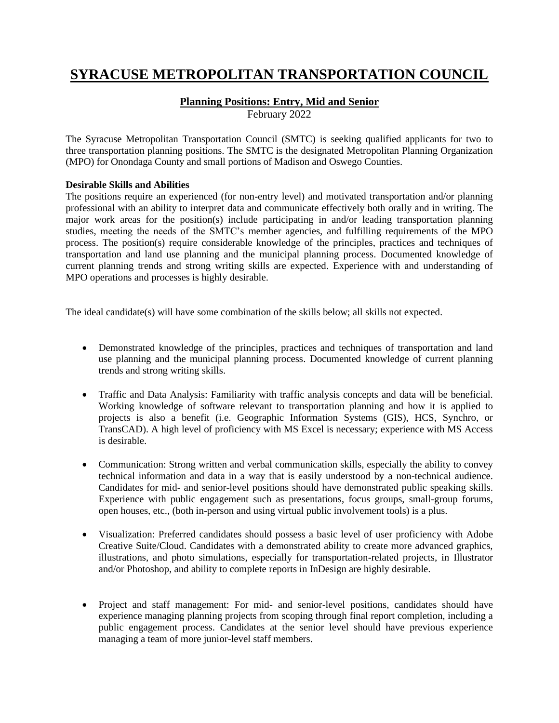# **SYRACUSE METROPOLITAN TRANSPORTATION COUNCIL**

# **Planning Positions: Entry, Mid and Senior**

February 2022

The Syracuse Metropolitan Transportation Council (SMTC) is seeking qualified applicants for two to three transportation planning positions. The SMTC is the designated Metropolitan Planning Organization (MPO) for Onondaga County and small portions of Madison and Oswego Counties.

## **Desirable Skills and Abilities**

The positions require an experienced (for non-entry level) and motivated transportation and/or planning professional with an ability to interpret data and communicate effectively both orally and in writing. The major work areas for the position(s) include participating in and/or leading transportation planning studies, meeting the needs of the SMTC's member agencies, and fulfilling requirements of the MPO process. The position(s) require considerable knowledge of the principles, practices and techniques of transportation and land use planning and the municipal planning process. Documented knowledge of current planning trends and strong writing skills are expected. Experience with and understanding of MPO operations and processes is highly desirable.

The ideal candidate(s) will have some combination of the skills below; all skills not expected.

- Demonstrated knowledge of the principles, practices and techniques of transportation and land use planning and the municipal planning process. Documented knowledge of current planning trends and strong writing skills.
- Traffic and Data Analysis: Familiarity with traffic analysis concepts and data will be beneficial. Working knowledge of software relevant to transportation planning and how it is applied to projects is also a benefit (i.e. Geographic Information Systems (GIS), HCS, Synchro, or TransCAD). A high level of proficiency with MS Excel is necessary; experience with MS Access is desirable.
- Communication: Strong written and verbal communication skills, especially the ability to convey technical information and data in a way that is easily understood by a non-technical audience. Candidates for mid- and senior-level positions should have demonstrated public speaking skills. Experience with public engagement such as presentations, focus groups, small-group forums, open houses, etc., (both in-person and using virtual public involvement tools) is a plus.
- Visualization: Preferred candidates should possess a basic level of user proficiency with Adobe Creative Suite/Cloud. Candidates with a demonstrated ability to create more advanced graphics, illustrations, and photo simulations, especially for transportation-related projects, in Illustrator and/or Photoshop, and ability to complete reports in InDesign are highly desirable.
- Project and staff management: For mid- and senior-level positions, candidates should have experience managing planning projects from scoping through final report completion, including a public engagement process. Candidates at the senior level should have previous experience managing a team of more junior-level staff members.